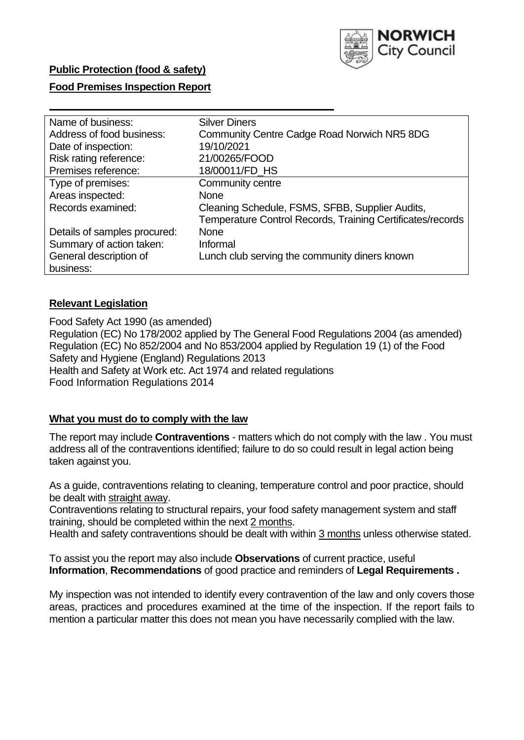

## **Public Protection (food & safety)**

## **Food Premises Inspection Report**

| Name of business:            | <b>Silver Diners</b>                                       |
|------------------------------|------------------------------------------------------------|
| Address of food business:    | Community Centre Cadge Road Norwich NR5 8DG                |
| Date of inspection:          | 19/10/2021                                                 |
| Risk rating reference:       | 21/00265/FOOD                                              |
| Premises reference:          | 18/00011/FD_HS                                             |
| Type of premises:            | Community centre                                           |
| Areas inspected:             | <b>None</b>                                                |
| Records examined:            | Cleaning Schedule, FSMS, SFBB, Supplier Audits,            |
|                              | Temperature Control Records, Training Certificates/records |
| Details of samples procured: | <b>None</b>                                                |
| Summary of action taken:     | Informal                                                   |
| General description of       | Lunch club serving the community diners known              |
| business:                    |                                                            |

## **Relevant Legislation**

Food Safety Act 1990 (as amended) Regulation (EC) No 178/2002 applied by The General Food Regulations 2004 (as amended) Regulation (EC) No 852/2004 and No 853/2004 applied by Regulation 19 (1) of the Food Safety and Hygiene (England) Regulations 2013 Health and Safety at Work etc. Act 1974 and related regulations Food Information Regulations 2014

### **What you must do to comply with the law**

The report may include **Contraventions** - matters which do not comply with the law . You must address all of the contraventions identified; failure to do so could result in legal action being taken against you.

As a guide, contraventions relating to cleaning, temperature control and poor practice, should be dealt with straight away.

Contraventions relating to structural repairs, your food safety management system and staff training, should be completed within the next 2 months.

Health and safety contraventions should be dealt with within 3 months unless otherwise stated.

To assist you the report may also include **Observations** of current practice, useful **Information**, **Recommendations** of good practice and reminders of **Legal Requirements .**

My inspection was not intended to identify every contravention of the law and only covers those areas, practices and procedures examined at the time of the inspection. If the report fails to mention a particular matter this does not mean you have necessarily complied with the law.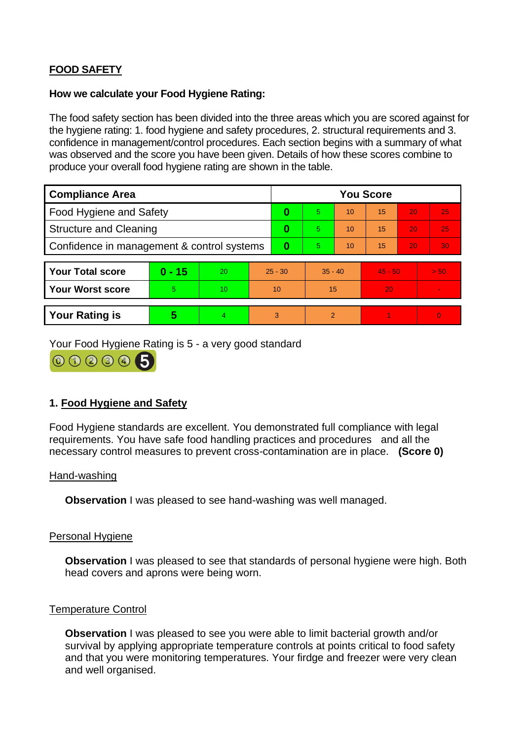# **FOOD SAFETY**

#### **How we calculate your Food Hygiene Rating:**

The food safety section has been divided into the three areas which you are scored against for the hygiene rating: 1. food hygiene and safety procedures, 2. structural requirements and 3. confidence in management/control procedures. Each section begins with a summary of what was observed and the score you have been given. Details of how these scores combine to produce your overall food hygiene rating are shown in the table.

| <b>Compliance Area</b>                     |          |    |           | <b>You Score</b> |                |    |           |    |                |  |  |
|--------------------------------------------|----------|----|-----------|------------------|----------------|----|-----------|----|----------------|--|--|
| Food Hygiene and Safety                    |          |    | 0         | 5.               | 10             | 15 | 20        | 25 |                |  |  |
| <b>Structure and Cleaning</b>              |          |    | 0         | 5                | 10             | 15 | 20        | 25 |                |  |  |
| Confidence in management & control systems |          |    | 0         | 5                | 10             | 15 | 20        | 30 |                |  |  |
|                                            |          |    |           |                  |                |    |           |    |                |  |  |
| <b>Your Total score</b>                    | $0 - 15$ | 20 | $25 - 30$ |                  | $35 - 40$      |    | $45 - 50$ |    | > 50           |  |  |
| <b>Your Worst score</b>                    | 5        | 10 | 10        |                  | 15             |    | 20        |    | $\blacksquare$ |  |  |
|                                            |          |    |           |                  |                |    |           |    |                |  |  |
| <b>Your Rating is</b>                      | 5        | 4. | 3         |                  | $\overline{2}$ |    |           |    | $\Omega$       |  |  |

Your Food Hygiene Rating is 5 - a very good standard



# **1. Food Hygiene and Safety**

Food Hygiene standards are excellent. You demonstrated full compliance with legal requirements. You have safe food handling practices and procedures and all the necessary control measures to prevent cross-contamination are in place. **(Score 0)**

#### Hand-washing

**Observation** I was pleased to see hand-washing was well managed.

### Personal Hygiene

**Observation** I was pleased to see that standards of personal hygiene were high. Both head covers and aprons were being worn.

#### Temperature Control

**Observation** I was pleased to see you were able to limit bacterial growth and/or survival by applying appropriate temperature controls at points critical to food safety and that you were monitoring temperatures. Your firdge and freezer were very clean and well organised.